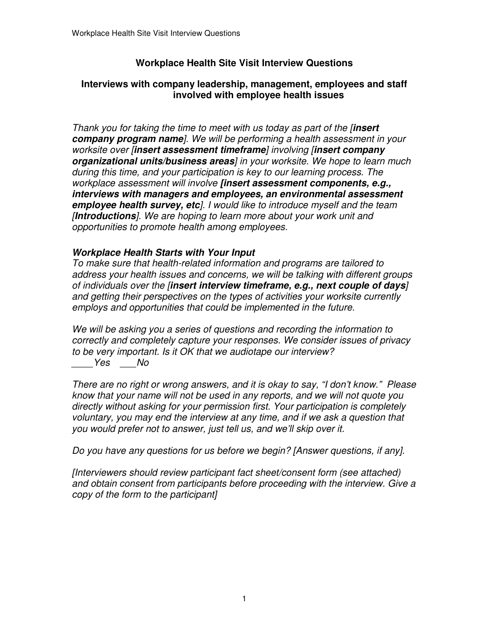# **Workplace Health Site Visit Interview Questions**

# **Interviews with company leadership, management, employees and staff involved with employee health issues**

 Thank you for taking the time to meet with us today as part of the [**insert company program name**]. We will be performing a health assessment in your worksite over [**insert assessment timeframe**] involving [**insert company organizational units/business areas**] in your worksite. We hope to learn much during this time, and your participation is key to our learning process. The workplace assessment will involve **[insert assessment components, e.g., interviews with managers and employees, an environmental assessment employee health survey, etc**]. I would like to introduce myself and the team [**Introductions**]. We are hoping to learn more about your work unit and opportunities to promote health among employees.

# **Workplace Health Starts with Your Input**

 To make sure that health-related information and programs are tailored to address your health issues and concerns, we will be talking with different groups of individuals over the [**insert interview timeframe, e.g., next couple of days**] and getting their perspectives on the types of activities your worksite currently employs and opportunities that could be implemented in the future.

 We will be asking you a series of questions and recording the information to correctly and completely capture your responses. We consider issues of privacy to be very important. Is it OK that we audiotape our interview? \_\_\_\_Yes \_\_\_No

 There are no right or wrong answers, and it is okay to say, "I don't know." Please know that your name will not be used in any reports, and we will not quote you directly without asking for your permission first. Your participation is completely voluntary, you may end the interview at any time, and if we ask a question that you would prefer not to answer, just tell us, and we'll skip over it.

Do you have any questions for us before we begin? [Answer questions, if any].

 [Interviewers should review participant fact sheet/consent form (see attached) and obtain consent from participants before proceeding with the interview. Give a copy of the form to the participant]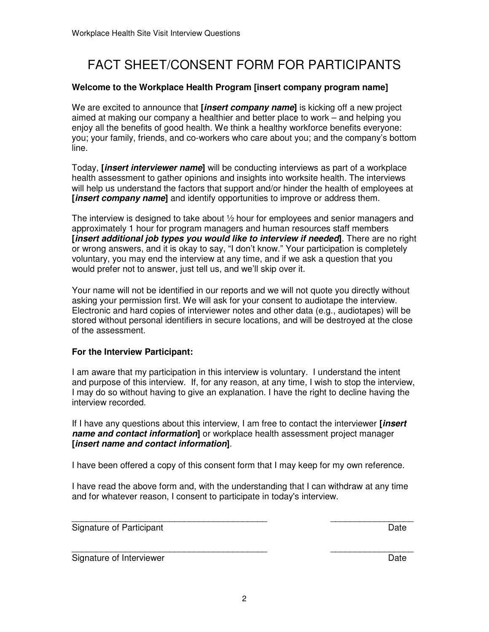# FACT SHEET/CONSENT FORM FOR PARTICIPANTS

### **Welcome to the Workplace Health Program [insert company program name]**

 We are excited to announce that **[insert company name]** is kicking off a new project aimed at making our company a healthier and better place to work – and helping you enjoy all the benefits of good health. We think a healthy workforce benefits everyone: you; your family, friends, and co-workers who care about you; and the company's bottom line.

line.<br>Today, **[***insert interviewer name***]** will be conducting interviews as part of a workplace health assessment to gather opinions and insights into worksite health. The interviews will help us understand the factors that support and/or hinder the health of employees at  **[insert company name]** and identify opportunities to improve or address them.

 The interview is designed to take about ½ hour for employees and senior managers and approximately 1 hour for program managers and human resources staff members  **[insert additional job types you would like to interview if needed]**. There are no right or wrong answers, and it is okay to say, "I don't know." Your participation is completely voluntary, you may end the interview at any time, and if we ask a question that you would prefer not to answer, just tell us, and we'll skip over it.

 Your name will not be identified in our reports and we will not quote you directly without asking your permission first. We will ask for your consent to audiotape the interview. Electronic and hard copies of interviewer notes and other data (e.g., audiotapes) will be stored without personal identifiers in secure locations, and will be destroyed at the close of the assessment.

## **For the Interview Participant:**

 I am aware that my participation in this interview is voluntary. I understand the intent and purpose of this interview. If, for any reason, at any time, I wish to stop the interview, I may do so without having to give an explanation. I have the right to decline having the interview recorded.

 If I have any questions about this interview, I am free to contact the interviewer **[insert name and contact information]** or workplace health assessment project manager  **[insert name and contact information]**.

I have been offered a copy of this consent form that I may keep for my own reference.

 I have read the above form and, with the understanding that I can withdraw at any time and for whatever reason, I consent to participate in today's interview.

\_\_\_\_\_\_\_\_\_\_\_\_\_\_\_\_\_\_\_\_\_\_\_\_\_\_\_\_\_\_\_\_\_\_\_\_\_\_\_\_ \_\_\_\_\_\_\_\_\_\_\_\_\_\_\_\_\_ Signature of Participant **Date** 

\_\_\_\_\_\_\_\_\_\_\_\_\_\_\_\_\_\_\_\_\_\_\_\_\_\_\_\_\_\_\_\_\_\_\_\_\_\_\_\_ \_\_\_\_\_\_\_\_\_\_\_\_\_\_\_\_\_ Signature of Interviewer **Date**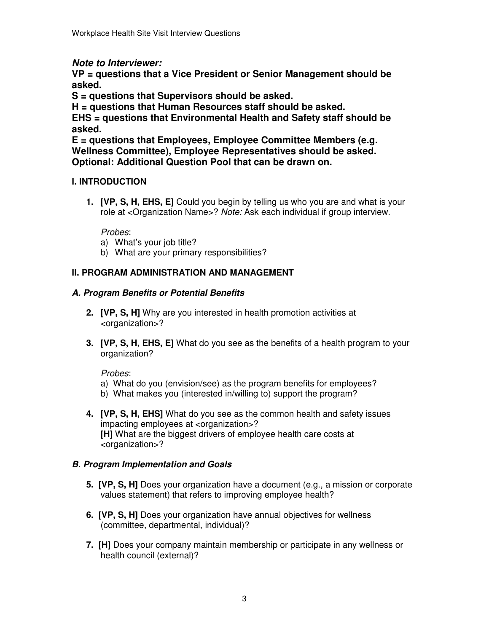# **Note to Interviewer:**

 **VP = questions that a Vice President or Senior Management should be asked.** 

 **S = questions that Supervisors should be asked.** 

 **H = questions that Human Resources staff should be asked.** 

 **EHS = questions that Environmental Health and Safety staff should be asked.** 

 **E = questions that Employees, Employee Committee Members (e.g. Wellness Committee), Employee Representatives should be asked. Optional: Additional Question Pool that can be drawn on.** 

# **I. INTRODUCTION**

 **1. [VP, S, H, EHS, E]** Could you begin by telling us who you are and what is your role at <Organization Name>? Note: Ask each individual if group interview.

# Probes:

- a) What's your job title?
- b) What are your primary responsibilities?

# **II. PROGRAM ADMINISTRATION AND MANAGEMENT**

# **A. Program Benefits or Potential Benefits**

- **2. [VP, S, H]** Why are you interested in health promotion activities at <organization>?
- **3. [VP, S, H, EHS, E]** What do you see as the benefits of a health program to your organization?

Probes:

- a) What do you (envision/see) as the program benefits for employees?
- b) What makes you (interested in/willing to) support the program?
- **4. [VP, S, H, EHS]** What do you see as the common health and safety issues impacting employees at <organization>? **[H]** What are the biggest drivers of employee health care costs at <organization>?

# **B. Program Implementation and Goals**

- **5. [VP, S, H]** Does your organization have a document (e.g., a mission or corporate values statement) that refers to improving employee health?
- **6. [VP, S, H]** Does your organization have annual objectives for wellness (committee, departmental, individual)?
- **7. [H]** Does your company maintain membership or participate in any wellness or health council (external)?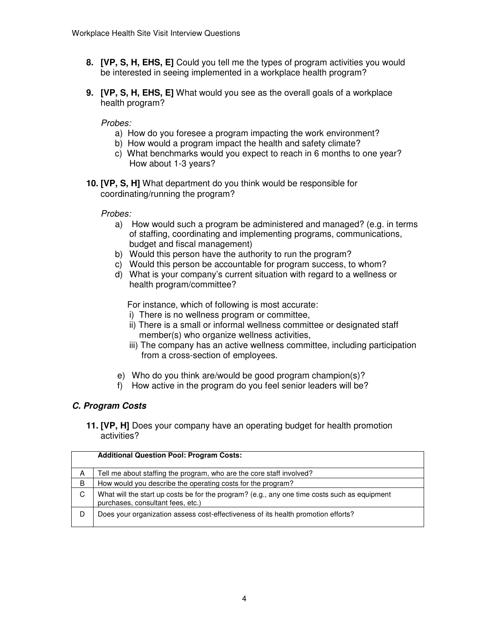- **8. [VP, S, H, EHS, E]** Could you tell me the types of program activities you would be interested in seeing implemented in a workplace health program?
- **9. [VP, S, H, EHS, E]** What would you see as the overall goals of a workplace health program?

### Probes:

- a) How do you foresee a program impacting the work environment?
- b) How would a program impact the health and safety climate?
- c) What benchmarks would you expect to reach in 6 months to one year? How about 1-3 years?
- **10. [VP, S, H]** What department do you think would be responsible for coordinating/running the program?

#### Probes:

- a) How would such a program be administered and managed? (e.g. in terms of staffing, coordinating and implementing programs, communications, budget and fiscal management)
- b) Would this person have the authority to run the program?
- c) Would this person be accountable for program success, to whom?
- d) What is your company's current situation with regard to a wellness or health program/committee?

For instance, which of following is most accurate:

- i) There is no wellness program or committee,
- ii) There is a small or informal wellness committee or designated staff member(s) who organize wellness activities,
- iii) The company has an active wellness committee, including participation from a cross-section of employees.
- e) Who do you think are/would be good program champion(s)?
- f) How active in the program do you feel senior leaders will be?

### **C. Program Costs**

 **11. [VP, H]** Does your company have an operating budget for health promotion activities?

|   | <b>Additional Question Pool: Program Costs:</b>                                                                                   |
|---|-----------------------------------------------------------------------------------------------------------------------------------|
| A | Tell me about staffing the program, who are the core staff involved?                                                              |
| B | How would you describe the operating costs for the program?                                                                       |
| C | What will the start up costs be for the program? (e.g., any one time costs such as equipment<br>purchases, consultant fees, etc.) |
| D | Does your organization assess cost-effectiveness of its health promotion efforts?                                                 |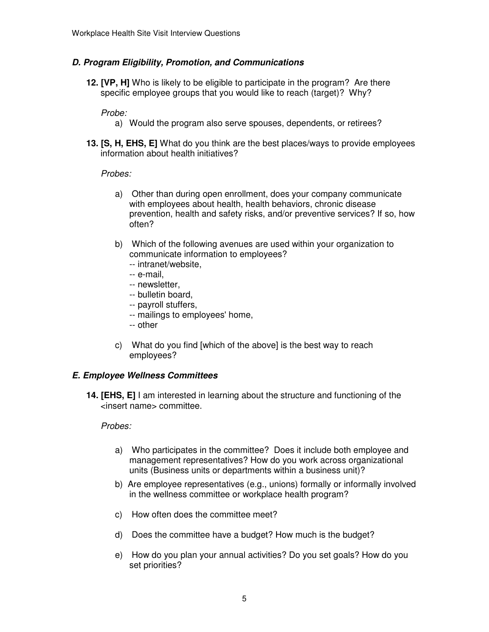# **D. Program Eligibility, Promotion, and Communications**

 **12. [VP, H]** Who is likely to be eligible to participate in the program? Are there specific employee groups that you would like to reach (target)? Why?

# Probe:

- a) Would the program also serve spouses, dependents, or retirees?
- **13. [S, H, EHS, E]** What do you think are the best places/ways to provide employees information about health initiatives?

#### Probes:

- a) Other than during open enrollment, does your company communicate with employees about health, health behaviors, chronic disease prevention, health and safety risks, and/or preventive services? If so, how often?
- b) Which of the following avenues are used within your organization to communicate information to employees?
	- -- intranet/website,
	- -- e-mail,
	- -- newsletter,
	- -- bulletin board,
	- -- payroll stuffers,
	- -- mailings to employees' home,
	- -- other
- c) What do you find [which of the above] is the best way to reach employees?

### **E. Employee Wellness Committees**

**14. [EHS, E]** I am interested in learning about the structure and functioning of the <insert name> committee.

- a) Who participates in the committee? Does it include both employee and management representatives? How do you work across organizational units (Business units or departments within a business unit)?
- b) Are employee representatives (e.g., unions) formally or informally involved in the wellness committee or workplace health program?
- c) How often does the committee meet?
- d) Does the committee have a budget? How much is the budget?
- e) How do you plan your annual activities? Do you set goals? How do you set priorities?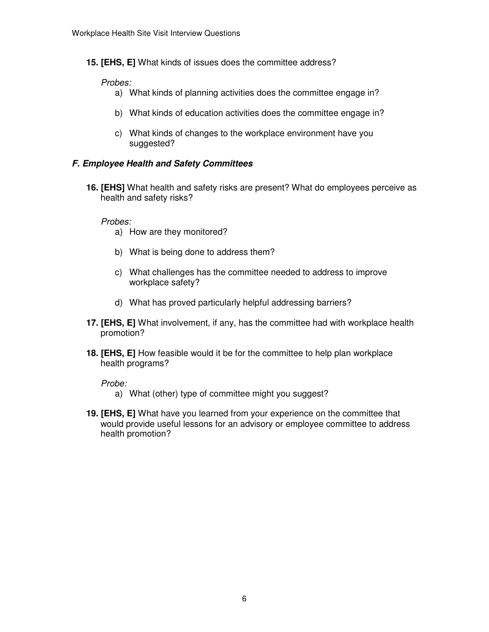**15. [EHS, E]** What kinds of issues does the committee address?

### Probes:

- a) What kinds of planning activities does the committee engage in?
- b) What kinds of education activities does the committee engage in?
- c) What kinds of changes to the workplace environment have you suggested?

# **F. Employee Health and Safety Committees**

 **16. [EHS]** What health and safety risks are present? What do employees perceive as health and safety risks?

### Probes:

- a) How are they monitored?
- b) What is being done to address them?
- c) What challenges has the committee needed to address to improve workplace safety?
- d) What has proved particularly helpful addressing barriers?
- **17. [EHS, E]** What involvement, if any, has the committee had with workplace health promotion?
- **18. [EHS, E]** How feasible would it be for the committee to help plan workplace health programs?

- a) What (other) type of committee might you suggest?
- **19. [EHS, E]** What have you learned from your experience on the committee that would provide useful lessons for an advisory or employee committee to address health promotion?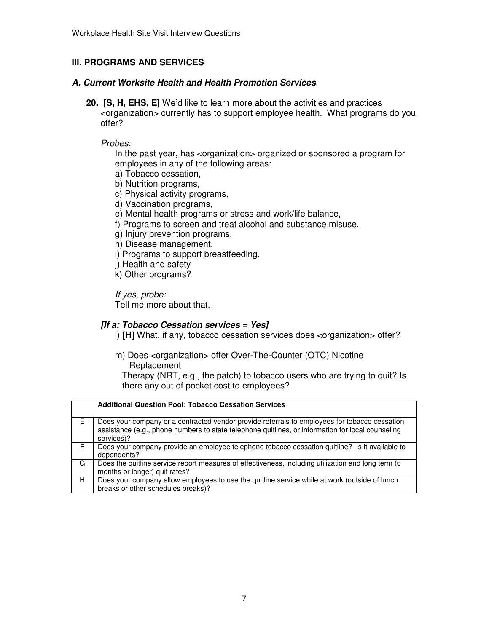# **III. PROGRAMS AND SERVICES**

# **A. Current Worksite Health and Health Promotion Services**

 **20. [S, H, EHS, E]** We'd like to learn more about the activities and practices <organization> currently has to support employee health. What programs do you offer?

#### Probes:

 In the past year, has <organization> organized or sponsored a program for employees in any of the following areas:

- a) Tobacco cessation,
- b) Nutrition programs,
- c) Physical activity programs,
- d) Vaccination programs,
- e) Mental health programs or stress and work/life balance,
- f) Programs to screen and treat alcohol and substance misuse,
- g) Injury prevention programs,
- h) Disease management,
- i) Programs to support breastfeeding,
- j) Health and safety
- k) Other programs?

If yes, probe:

Tell me more about that.

### **[If a: Tobacco Cessation services = Yes]**

l) **[H]** What, if any, tobacco cessation services does <organization> offer?

 m) Does <organization> offer Over-The-Counter (OTC) Nicotine Replacement

Replacement<br>Therapy (NRT, e.g., the patch) to tobacco users who are trying to quit? Is there any out of pocket cost to employees?

|    | <b>Additional Question Pool: Tobacco Cessation Services</b>                                                                                                                                                      |
|----|------------------------------------------------------------------------------------------------------------------------------------------------------------------------------------------------------------------|
| F. | Does your company or a contracted vendor provide referrals to employees for tobacco cessation<br>assistance (e.g., phone numbers to state telephone quitlines, or information for local counseling<br>services)? |
| F. | Does your company provide an employee telephone tobacco cessation quitline? Is it available to<br>dependents?                                                                                                    |
| G  | Does the quitline service report measures of effectiveness, including utilization and long term (6)<br>months or longer) quit rates?                                                                             |
| H  | Does your company allow employees to use the quitline service while at work (outside of lunch<br>breaks or other schedules breaks)?                                                                              |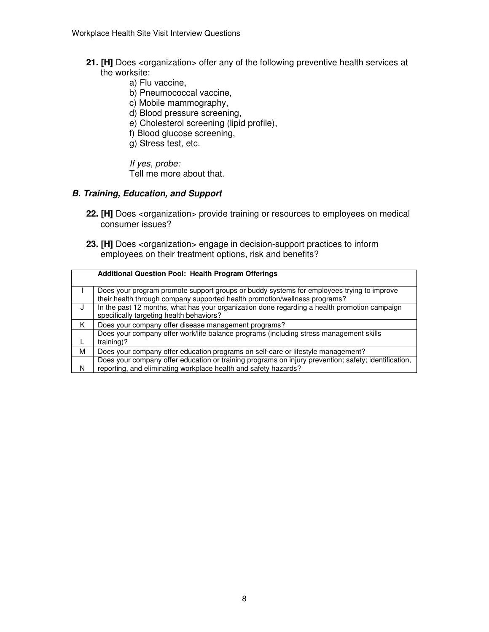- **21. [H]** Does <organization> offer any of the following preventive health services at the worksite:
	- a) Flu vaccine,
	- b) Pneumococcal vaccine,
	- c) Mobile mammography,
	- d) Blood pressure screening,
	- e) Cholesterol screening (lipid profile),
	- f) Blood glucose screening,
	- g) Stress test, etc.

If yes, probe:

Tell me more about that.

#### **B. Training, Education, and Support**

- **22. [H]** Does <organization> provide training or resources to employees on medical consumer issues?
- **23. [H]** Does <organization> engage in decision-support practices to inform employees on their treatment options, risk and benefits?

|    | <b>Additional Question Pool: Health Program Offerings</b>                                            |
|----|------------------------------------------------------------------------------------------------------|
|    | Does your program promote support groups or buddy systems for employees trying to improve            |
|    | their health through company supported health promotion/wellness programs?                           |
| ٠J | In the past 12 months, what has your organization done regarding a health promotion campaign         |
|    | specifically targeting health behaviors?                                                             |
| Κ  | Does your company offer disease management programs?                                                 |
|    | Does your company offer work/life balance programs (including stress management skills               |
|    | $training$ ?                                                                                         |
| м  | Does your company offer education programs on self-care or lifestyle management?                     |
|    | Does your company offer education or training programs on injury prevention; safety; identification, |
| N  | reporting, and eliminating workplace health and safety hazards?                                      |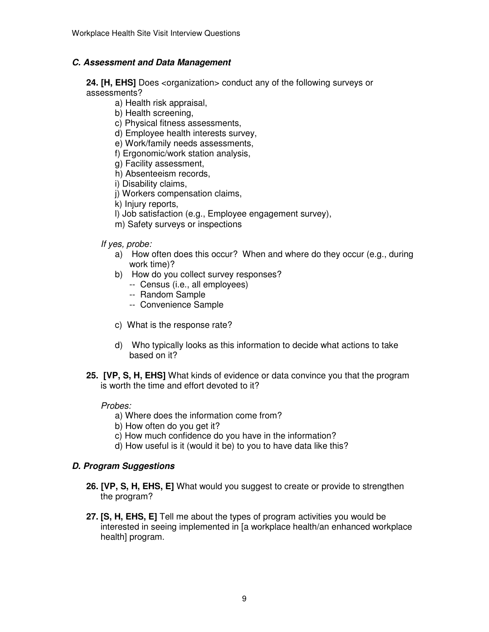# **C. Assessment and Data Management**

 **24. [H, EHS]** Does <organization> conduct any of the following surveys or assessments?

- a) Health risk appraisal,
- b) Health screening,
- c) Physical fitness assessments,
- d) Employee health interests survey,
- e) Work/family needs assessments,
- f) Ergonomic/work station analysis,
- g) Facility assessment,
- h) Absenteeism records,
- i) Disability claims,
- j) Workers compensation claims,
- k) Injury reports,
- l) Job satisfaction (e.g., Employee engagement survey),
- m) Safety surveys or inspections

#### If yes, probe:

- a) How often does this occur? When and where do they occur (e.g., during work time)?
- b) How do you collect survey responses?
	- -- Census (i.e., all employees)
	- -- Random Sample
	- -- Convenience Sample
- c) What is the response rate?
- d) Who typically looks as this information to decide what actions to take based on it?
- **25. [VP, S, H, EHS]** What kinds of evidence or data convince you that the program is worth the time and effort devoted to it?

#### Probes:

- a) Where does the information come from?
- b) How often do you get it?
- c) How much confidence do you have in the information?
- d) How useful is it (would it be) to you to have data like this?

### **D. Program Suggestions**

- **26. [VP, S, H, EHS, E]** What would you suggest to create or provide to strengthen the program?
- **27. [S, H, EHS, E]** Tell me about the types of program activities you would be interested in seeing implemented in [a workplace health/an enhanced workplace health] program.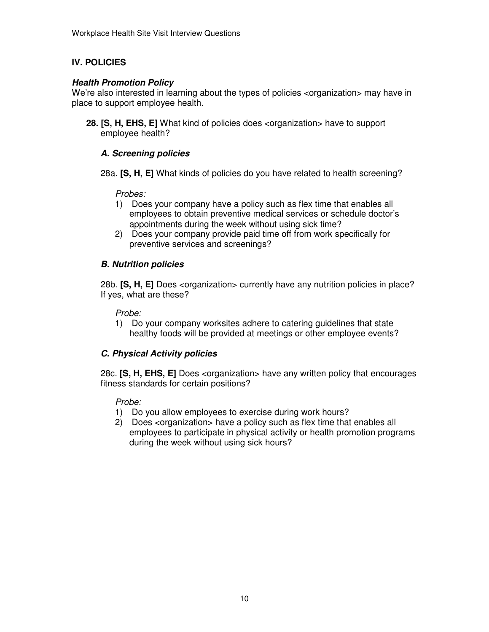# **IV. POLICIES**

# **Health Promotion Policy**

We're also interested in learning about the types of policies <organization> may have in place to support employee health.

 **28. [S, H, EHS, E]** What kind of policies does <organization> have to support employee health?

# **A. Screening policies**

 28a. **[S, H, E]** What kinds of policies do you have related to health screening?

### Probes:

- 1) Does your company have a policy such as flex time that enables all employees to obtain preventive medical services or schedule doctor's appointments during the week without using sick time?
- 2) Does your company provide paid time off from work specifically for preventive services and screenings?

# **B. Nutrition policies**

 28b. **[S, H, E]** Does <organization> currently have any nutrition policies in place? If yes, what are these?

#### Probe:

1) Do your company worksites adhere to catering guidelines that state healthy foods will be provided at meetings or other employee events?

# **C. Physical Activity policies**

 28c. **[S, H, EHS, E]** Does <organization> have any written policy that encourages fitness standards for certain positions?

- 1) Do you allow employees to exercise during work hours?
- 2) Does <organization> have a policy such as flex time that enables all employees to participate in physical activity or health promotion programs during the week without using sick hours?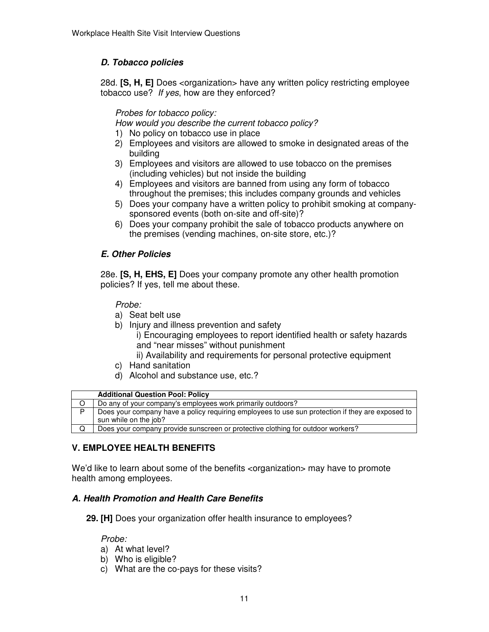# **D. Tobacco policies**

 28d. **[S, H, E]** Does <organization> have any written policy restricting employee tobacco use? If yes, how are they enforced?

Probes for tobacco policy:

How would you describe the current tobacco policy?

- 1) No policy on tobacco use in place
- 2) Employees and visitors are allowed to smoke in designated areas of the building
- 3) Employees and visitors are allowed to use tobacco on the premises (including vehicles) but not inside the building
- 4) Employees and visitors are banned from using any form of tobacco throughout the premises; this includes company grounds and vehicles
- 5) Does your company have a written policy to prohibit smoking at company-sponsored events (both on-site and off-site)?
- 6) Does your company prohibit the sale of tobacco products anywhere on the premises (vending machines, on-site store, etc.)?

# **E. Other Policies**

 28e. **[S, H, EHS, E]** Does your company promote any other health promotion policies? If yes, tell me about these.

Probe:

- a) Seat belt use
- b) Injury and illness prevention and safety
	- i) Encouraging employees to report identified health or safety hazards and "near misses" without punishment
	- ii) Availability and requirements for personal protective equipment
- c) Hand sanitation
- d) Alcohol and substance use, etc.?

|   | <b>Additional Question Pool: Policy</b>                                                                                   |
|---|---------------------------------------------------------------------------------------------------------------------------|
|   | Do any of your company's employees work primarily outdoors?                                                               |
| D | Does your company have a policy requiring employees to use sun protection if they are exposed to<br>sun while on the job? |
|   | Does your company provide sunscreen or protective clothing for outdoor workers?                                           |

# **V. EMPLOYEE HEALTH BENEFITS**

We'd like to learn about some of the benefits <organization> may have to promote health among employees.

# **A. Health Promotion and Health Care Benefits**

**29. [H]** Does your organization offer health insurance to employees?

- a) At what level?
- b) Who is eligible?
- c) What are the co-pays for these visits?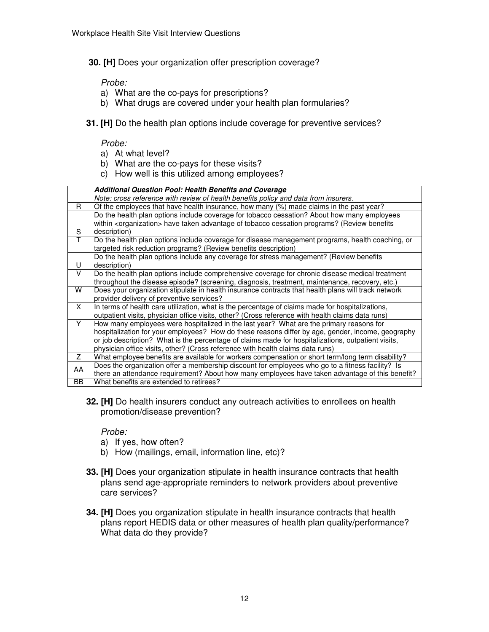**30. [H]** Does your organization offer prescription coverage?

Probe:

- a) What are the co-pays for prescriptions?
- b) What drugs are covered under your health plan formularies?
- **31. [H]** Do the health plan options include coverage for preventive services?

#### Probe:

- a) At what level?
- b) What are the co-pays for these visits?
- c) How well is this utilized among employees?

|              | <b>Additional Question Pool: Health Benefits and Coverage</b>                                                                                    |
|--------------|--------------------------------------------------------------------------------------------------------------------------------------------------|
|              | Note: cross reference with review of health benefits policy and data from insurers.                                                              |
| R.           | Of the employees that have health insurance, how many (%) made claims in the past year?                                                          |
|              | Do the health plan options include coverage for tobacco cessation? About how many employees                                                      |
|              | within <organization> have taken advantage of tobacco cessation programs? (Review benefits</organization>                                        |
| S            | description)                                                                                                                                     |
| $\mathsf{T}$ | Do the health plan options include coverage for disease management programs, health coaching, or                                                 |
|              | targeted risk reduction programs? (Review benefits description)                                                                                  |
|              | Do the health plan options include any coverage for stress management? (Review benefits                                                          |
| U            | description)                                                                                                                                     |
| $\vee$       | Do the health plan options include comprehensive coverage for chronic disease medical treatment                                                  |
|              | throughout the disease episode? (screening, diagnosis, treatment, maintenance, recovery, etc.)                                                   |
| W            | Does your organization stipulate in health insurance contracts that health plans will track network<br>provider delivery of preventive services? |
| X            | In terms of health care utilization, what is the percentage of claims made for hospitalizations,                                                 |
|              | outpatient visits, physician office visits, other? (Cross reference with health claims data runs)                                                |
| Y            | How many employees were hospitalized in the last year? What are the primary reasons for                                                          |
|              | hospitalization for your employees? How do these reasons differ by age, gender, income, geography                                                |
|              | or job description? What is the percentage of claims made for hospitalizations, outpatient visits,                                               |
|              | physician office visits, other? (Cross reference with health claims data runs)                                                                   |
| Z            | What employee benefits are available for workers compensation or short term/long term disability?                                                |
| AA           | Does the organization offer a membership discount for employees who go to a fitness facility? Is                                                 |
|              | there an attendance requirement? About how many employees have taken advantage of this benefit?                                                  |
| <b>BB</b>    | What benefits are extended to retirees?                                                                                                          |

 **32. [H]** Do health insurers conduct any outreach activities to enrollees on health promotion/disease prevention?

- a) If yes, how often?
- b) How (mailings, email, information line, etc)?
- **33. [H]** Does your organization stipulate in health insurance contracts that health plans send age-appropriate reminders to network providers about preventive care services?
- **34. [H]** Does you organization stipulate in health insurance contracts that health plans report HEDIS data or other measures of health plan quality/performance? What data do they provide?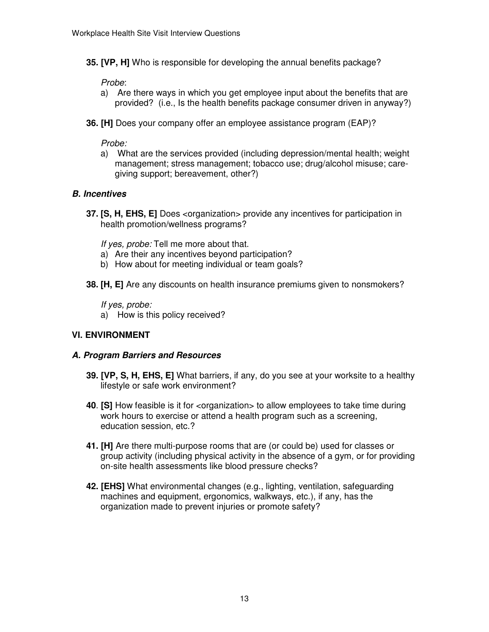**35. [VP, H]** Who is responsible for developing the annual benefits package?

Probe:

- Probe:<br>a) Are there ways in which you get employee input about the benefits that are provided? (i.e., Is the health benefits package consumer driven in anyway?)
- **36. [H]** Does your company offer an employee assistance program (EAP)?

Probe:

a) What are the services provided (including depression/mental health; weight management; stress management; tobacco use; drug/alcohol misuse; care-giving support; bereavement, other?)

# **B. Incentives**

 **37. [S, H, EHS, E]** Does <organization> provide any incentives for participation in health promotion/wellness programs?

If yes, probe: Tell me more about that.

- a) Are their any incentives beyond participation?
- b) How about for meeting individual or team goals?
- **38. [H, E]** Are any discounts on health insurance premiums given to nonsmokers?

If yes, probe:

a) How is this policy received?

### **VI. ENVIRONMENT**

#### **A. Program Barriers and Resources**

- **39. [VP, S, H, EHS, E]** What barriers, if any, do you see at your worksite to a healthy lifestyle or safe work environment?
- **40**. **[S]** How feasible is it for <organization> to allow employees to take time during work hours to exercise or attend a health program such as a screening, education session, etc.?
- **41. [H]** Are there multi-purpose rooms that are (or could be) used for classes or group activity (including physical activity in the absence of a gym, or for providing on-site health assessments like blood pressure checks?
- **42. [EHS]** What environmental changes (e.g., lighting, ventilation, safeguarding machines and equipment, ergonomics, walkways, etc.), if any, has the organization made to prevent injuries or promote safety?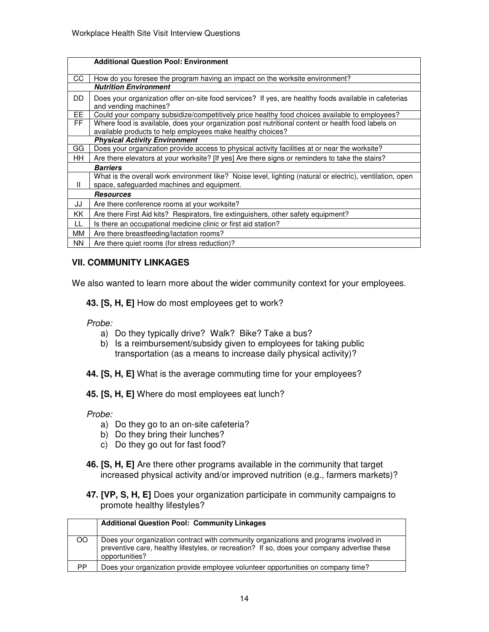|     | <b>Additional Question Pool: Environment</b>                                                                                   |
|-----|--------------------------------------------------------------------------------------------------------------------------------|
| CC  | How do you foresee the program having an impact on the worksite environment?                                                   |
|     | <b>Nutrition Environment</b>                                                                                                   |
| DD. | Does your organization offer on-site food services? If yes, are healthy foods available in cafeterias<br>and vending machines? |
| EE. | Could your company subsidize/competitively price healthy food choices available to employees?                                  |
| FF. | Where food is available, does your organization post nutritional content or health food labels on                              |
|     | available products to help employees make healthy choices?                                                                     |
|     | <b>Physical Activity Environment</b>                                                                                           |
| GG  | Does your organization provide access to physical activity facilities at or near the worksite?                                 |
| HH. | Are there elevators at your worksite? [If yes] Are there signs or reminders to take the stairs?                                |
|     | <b>Barriers</b>                                                                                                                |
|     | What is the overall work environment like? Noise level, lighting (natural or electric), ventilation, open                      |
| Ш   | space, safeguarded machines and equipment.                                                                                     |
|     | <b>Resources</b>                                                                                                               |
| JJ  | Are there conference rooms at your worksite?                                                                                   |
| ΚK  | Are there First Aid kits? Respirators, fire extinguishers, other safety equipment?                                             |
| LL  | Is there an occupational medicine clinic or first aid station?                                                                 |
| MМ  | Are there breastfeeding/lactation rooms?                                                                                       |
| NN. | Are there quiet rooms (for stress reduction)?                                                                                  |

# **VII. COMMUNITY LINKAGES**

We also wanted to learn more about the wider community context for your employees.

 **43. [S, H, E]** How do most employees get to work?

Probe:

- a) Do they typically drive? Walk? Bike? Take a bus?
- b) Is a reimbursement/subsidy given to employees for taking public transportation (as a means to increase daily physical activity)?
- **44. [S, H, E]** What is the average commuting time for your employees?
- **45. [S, H, E]** Where do most employees eat lunch?

- a) Do they go to an on-site cafeteria?
- b) Do they bring their lunches?
- c) Do they go out for fast food?
- **46. [S, H, E]** Are there other programs available in the community that target increased physical activity and/or improved nutrition (e.g., farmers markets)?
- **47. [VP, S, H, E]** Does your organization participate in community campaigns to promote healthy lifestyles?

|               | <b>Additional Question Pool: Community Linkages</b>                                                                                                                                                     |
|---------------|---------------------------------------------------------------------------------------------------------------------------------------------------------------------------------------------------------|
| <sub>OO</sub> | Does your organization contract with community organizations and programs involved in<br>preventive care, healthy lifestyles, or recreation? If so, does your company advertise these<br>opportunities? |
| <b>PP</b>     | Does your organization provide employee volunteer opportunities on company time?                                                                                                                        |